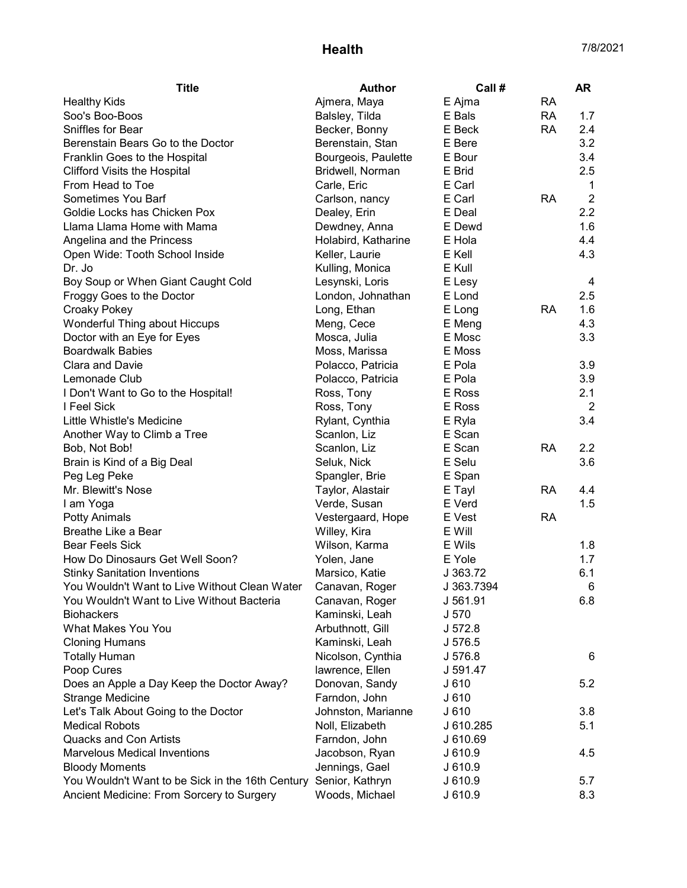## Health 7/8/2021

| <b>Title</b>                                                     | <b>Author</b>       | Call #     |           | <b>AR</b>      |
|------------------------------------------------------------------|---------------------|------------|-----------|----------------|
| <b>Healthy Kids</b>                                              | Ajmera, Maya        | E Ajma     | <b>RA</b> |                |
| Soo's Boo-Boos                                                   | Balsley, Tilda      | E Bals     | <b>RA</b> | 1.7            |
| Sniffles for Bear                                                | Becker, Bonny       | E Beck     | <b>RA</b> | 2.4            |
| Berenstain Bears Go to the Doctor                                | Berenstain, Stan    | E Bere     |           | 3.2            |
| Franklin Goes to the Hospital                                    | Bourgeois, Paulette | E Bour     |           | 3.4            |
| <b>Clifford Visits the Hospital</b>                              | Bridwell, Norman    | E Brid     |           | 2.5            |
| From Head to Toe                                                 | Carle, Eric         | E Carl     |           | 1              |
| Sometimes You Barf                                               | Carlson, nancy      | E Carl     | <b>RA</b> | $\overline{2}$ |
| Goldie Locks has Chicken Pox                                     | Dealey, Erin        | E Deal     |           | 2.2            |
| Llama Llama Home with Mama                                       | Dewdney, Anna       | E Dewd     |           | 1.6            |
| Angelina and the Princess                                        | Holabird, Katharine | E Hola     |           | 4.4            |
| Open Wide: Tooth School Inside                                   | Keller, Laurie      | E Kell     |           | 4.3            |
| Dr. Jo                                                           | Kulling, Monica     | E Kull     |           |                |
| Boy Soup or When Giant Caught Cold                               | Lesynski, Loris     | E Lesy     |           | 4              |
| Froggy Goes to the Doctor                                        | London, Johnathan   | E Lond     |           | 2.5            |
| <b>Croaky Pokey</b>                                              | Long, Ethan         | E Long     | <b>RA</b> | 1.6            |
| Wonderful Thing about Hiccups                                    | Meng, Cece          | E Meng     |           | 4.3            |
| Doctor with an Eye for Eyes                                      | Mosca, Julia        | E Mosc     |           | 3.3            |
| <b>Boardwalk Babies</b>                                          | Moss, Marissa       | E Moss     |           |                |
| Clara and Davie                                                  | Polacco, Patricia   | E Pola     |           | 3.9            |
| Lemonade Club                                                    | Polacco, Patricia   | E Pola     |           | 3.9            |
| I Don't Want to Go to the Hospital!                              | Ross, Tony          | E Ross     |           | 2.1            |
| I Feel Sick                                                      | Ross, Tony          | E Ross     |           | $\overline{2}$ |
| Little Whistle's Medicine                                        | Rylant, Cynthia     | E Ryla     |           | 3.4            |
| Another Way to Climb a Tree                                      | Scanlon, Liz        | E Scan     |           |                |
| Bob, Not Bob!                                                    | Scanlon, Liz        | E Scan     | <b>RA</b> | 2.2            |
| Brain is Kind of a Big Deal                                      | Seluk, Nick         | E Selu     |           | 3.6            |
| Peg Leg Peke                                                     | Spangler, Brie      | E Span     |           |                |
| Mr. Blewitt's Nose                                               | Taylor, Alastair    | E Tayl     | <b>RA</b> | 4.4            |
| I am Yoga                                                        | Verde, Susan        | E Verd     |           | 1.5            |
| <b>Potty Animals</b>                                             | Vestergaard, Hope   | E Vest     | <b>RA</b> |                |
| Breathe Like a Bear                                              | Willey, Kira        | E Will     |           |                |
| <b>Bear Feels Sick</b>                                           | Wilson, Karma       | E Wils     |           | 1.8            |
| How Do Dinosaurs Get Well Soon?                                  | Yolen, Jane         | E Yole     |           | 1.7            |
| <b>Stinky Sanitation Inventions</b>                              | Marsico, Katie      | J 363.72   |           | 6.1            |
| You Wouldn't Want to Live Without Clean Water Canavan, Roger     |                     | J 363.7394 |           | 6              |
| You Wouldn't Want to Live Without Bacteria                       | Canavan, Roger      | J 561.91   |           | 6.8            |
| <b>Biohackers</b>                                                | Kaminski, Leah      | J 570      |           |                |
| What Makes You You                                               | Arbuthnott, Gill    | J 572.8    |           |                |
| <b>Cloning Humans</b>                                            | Kaminski, Leah      | J 576.5    |           |                |
| <b>Totally Human</b>                                             | Nicolson, Cynthia   | J 576.8    |           | 6              |
| Poop Cures                                                       | lawrence, Ellen     | J 591.47   |           |                |
| Does an Apple a Day Keep the Doctor Away?                        | Donovan, Sandy      | J610       |           | 5.2            |
| <b>Strange Medicine</b>                                          | Farndon, John       | J610       |           |                |
| Let's Talk About Going to the Doctor                             | Johnston, Marianne  | J 610      |           | 3.8            |
| <b>Medical Robots</b>                                            | Noll, Elizabeth     | J 610.285  |           | 5.1            |
| <b>Quacks and Con Artists</b>                                    | Farndon, John       | J 610.69   |           |                |
| <b>Marvelous Medical Inventions</b>                              | Jacobson, Ryan      | J 610.9    |           | 4.5            |
| <b>Bloody Moments</b>                                            | Jennings, Gael      | J 610.9    |           |                |
| You Wouldn't Want to be Sick in the 16th Century Senior, Kathryn |                     | J 610.9    |           | 5.7            |
| Ancient Medicine: From Sorcery to Surgery                        | Woods, Michael      | J 610.9    |           | 8.3            |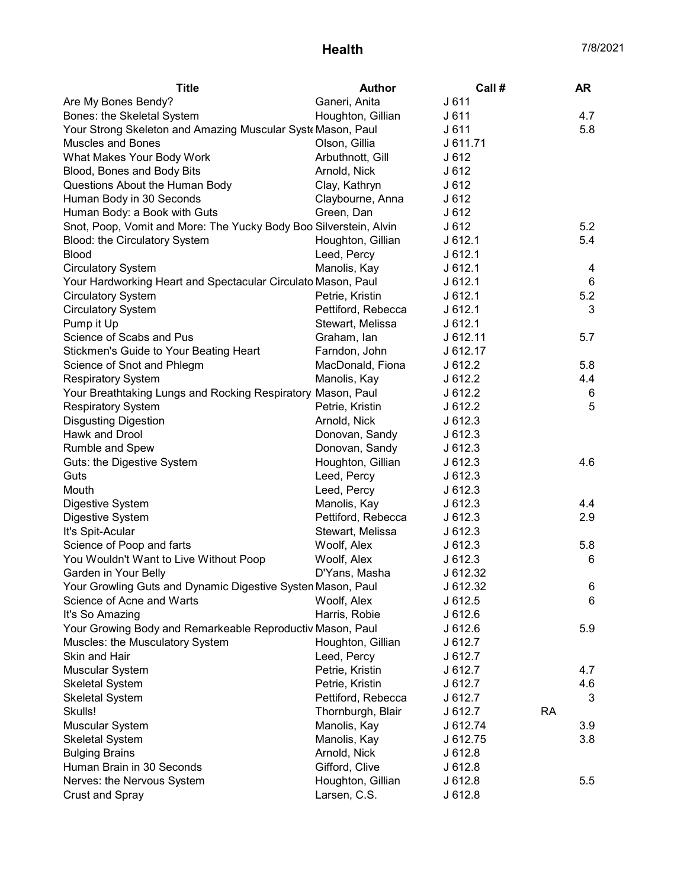## Health 7/8/2021

| <b>Title</b>                                                      | <b>Author</b>      | Call #   |           | <b>AR</b> |
|-------------------------------------------------------------------|--------------------|----------|-----------|-----------|
| Are My Bones Bendy?                                               | Ganeri, Anita      | J611     |           |           |
| Bones: the Skeletal System                                        | Houghton, Gillian  | J611     |           | 4.7       |
| Your Strong Skeleton and Amazing Muscular Syst Mason, Paul        |                    | J 611    |           | 5.8       |
| <b>Muscles and Bones</b>                                          | Olson, Gillia      | J 611.71 |           |           |
| What Makes Your Body Work                                         | Arbuthnott, Gill   | J612     |           |           |
| Blood, Bones and Body Bits                                        | Arnold, Nick       | J612     |           |           |
| Questions About the Human Body                                    | Clay, Kathryn      | J612     |           |           |
| Human Body in 30 Seconds                                          | Claybourne, Anna   | J612     |           |           |
| Human Body: a Book with Guts                                      | Green, Dan         | J612     |           |           |
| Snot, Poop, Vomit and More: The Yucky Body Boo Silverstein, Alvin |                    | J612     |           | 5.2       |
| Blood: the Circulatory System                                     | Houghton, Gillian  | J612.1   |           | 5.4       |
| <b>Blood</b>                                                      | Leed, Percy        | J612.1   |           |           |
| <b>Circulatory System</b>                                         | Manolis, Kay       | J612.1   |           | 4         |
| Your Hardworking Heart and Spectacular Circulato Mason, Paul      |                    | J612.1   |           | 6         |
| <b>Circulatory System</b>                                         | Petrie, Kristin    | J612.1   |           | 5.2       |
| <b>Circulatory System</b>                                         | Pettiford, Rebecca | J612.1   |           | 3         |
| Pump it Up                                                        | Stewart, Melissa   | J612.1   |           |           |
| Science of Scabs and Pus                                          | Graham, lan        | J 612.11 |           | 5.7       |
| Stickmen's Guide to Your Beating Heart                            | Farndon, John      | J 612.17 |           |           |
| Science of Snot and Phlegm                                        | MacDonald, Fiona   | J 612.2  |           | 5.8       |
| <b>Respiratory System</b>                                         | Manolis, Kay       | J 612.2  |           | 4.4       |
| Your Breathtaking Lungs and Rocking Respiratory Mason, Paul       |                    | J 612.2  |           | 6         |
| <b>Respiratory System</b>                                         | Petrie, Kristin    | J612.2   |           | 5         |
| <b>Disgusting Digestion</b>                                       | Arnold, Nick       | J612.3   |           |           |
| Hawk and Drool                                                    | Donovan, Sandy     | J612.3   |           |           |
| Rumble and Spew                                                   | Donovan, Sandy     | J612.3   |           |           |
| Guts: the Digestive System                                        | Houghton, Gillian  | J612.3   |           | 4.6       |
| Guts                                                              | Leed, Percy        | J612.3   |           |           |
| Mouth                                                             | Leed, Percy        | J612.3   |           |           |
| Digestive System                                                  | Manolis, Kay       | J612.3   |           | 4.4       |
| Digestive System                                                  | Pettiford, Rebecca | J612.3   |           | 2.9       |
| It's Spit-Acular                                                  | Stewart, Melissa   | J612.3   |           |           |
| Science of Poop and farts                                         | Woolf, Alex        | J612.3   |           | 5.8       |
| You Wouldn't Want to Live Without Poop                            | Woolf, Alex        | J612.3   |           | 6         |
| Garden in Your Belly                                              | D'Yans, Masha      | J 612.32 |           |           |
| Your Growling Guts and Dynamic Digestive Systen Mason, Paul       |                    | J 612.32 |           | 6         |
| Science of Acne and Warts                                         | Woolf, Alex        | J612.5   |           | 6         |
| It's So Amazing                                                   | Harris, Robie      | J612.6   |           |           |
| Your Growing Body and Remarkeable Reproductiv Mason, Paul         |                    | J 612.6  |           | 5.9       |
| Muscles: the Musculatory System                                   | Houghton, Gillian  | J 612.7  |           |           |
| Skin and Hair                                                     | Leed, Percy        | J 612.7  |           |           |
| Muscular System                                                   | Petrie, Kristin    | J 612.7  |           | 4.7       |
| <b>Skeletal System</b>                                            | Petrie, Kristin    | J 612.7  |           | 4.6       |
| <b>Skeletal System</b>                                            | Pettiford, Rebecca | J 612.7  |           | 3         |
| Skulls!                                                           | Thornburgh, Blair  | J 612.7  | <b>RA</b> |           |
| Muscular System                                                   | Manolis, Kay       | J 612.74 |           | 3.9       |
| <b>Skeletal System</b>                                            | Manolis, Kay       | J 612.75 |           | 3.8       |
| <b>Bulging Brains</b>                                             | Arnold, Nick       | J612.8   |           |           |
| Human Brain in 30 Seconds                                         | Gifford, Clive     | J612.8   |           |           |
| Nerves: the Nervous System                                        | Houghton, Gillian  | J612.8   |           | 5.5       |
| <b>Crust and Spray</b>                                            | Larsen, C.S.       | J612.8   |           |           |
|                                                                   |                    |          |           |           |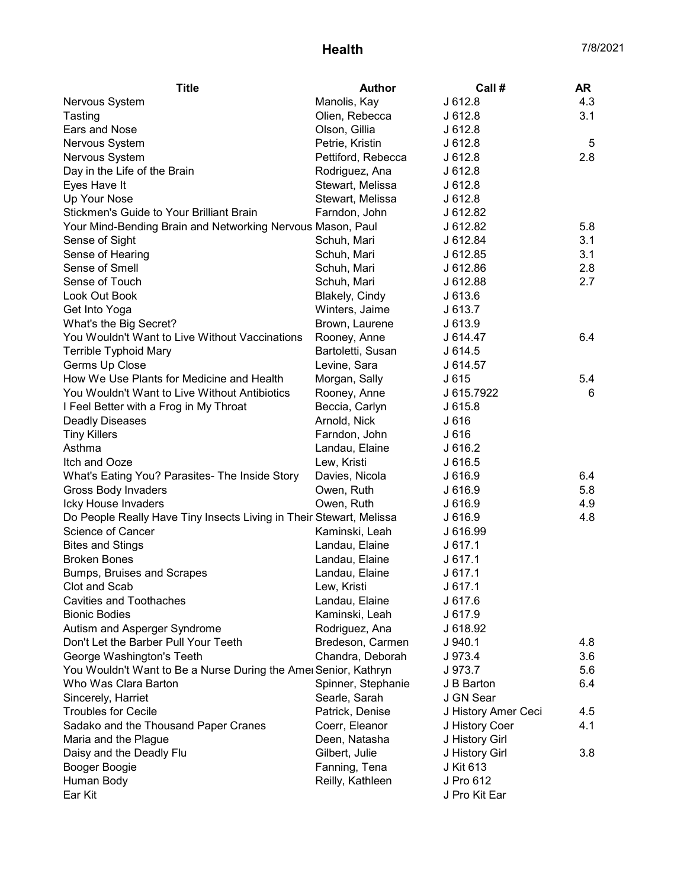| <b>Title</b><br><b>Author</b><br>Call#                                         | <b>AR</b> |
|--------------------------------------------------------------------------------|-----------|
| Manolis, Kay<br>J612.8<br>Nervous System                                       | 4.3       |
| Olien, Rebecca<br>J612.8<br>Tasting                                            | 3.1       |
| Ears and Nose<br>Olson, Gillia<br>J612.8                                       |           |
| Nervous System<br>Petrie, Kristin<br>J612.8                                    | 5         |
| Nervous System<br>Pettiford, Rebecca<br>J612.8                                 | 2.8       |
| Day in the Life of the Brain<br>J612.8<br>Rodriguez, Ana                       |           |
| Stewart, Melissa<br>J612.8<br>Eyes Have It                                     |           |
| Stewart, Melissa<br>J612.8<br>Up Your Nose                                     |           |
| Stickmen's Guide to Your Brilliant Brain<br>Farndon, John<br>J 612.82          |           |
| J 612.82<br>Your Mind-Bending Brain and Networking Nervous Mason, Paul         | 5.8       |
| J 612.84<br>Sense of Sight<br>Schuh, Mari                                      | 3.1       |
| Sense of Hearing<br>Schuh, Mari<br>J 612.85                                    | 3.1       |
| Sense of Smell<br>Schuh, Mari<br>J 612.86                                      | 2.8       |
| Sense of Touch<br>J 612.88<br>Schuh, Mari                                      | 2.7       |
| Look Out Book<br>Blakely, Cindy<br>J613.6                                      |           |
| Get Into Yoga<br>Winters, Jaime<br>J613.7                                      |           |
| Brown, Laurene<br>J 613.9<br>What's the Big Secret?                            |           |
| You Wouldn't Want to Live Without Vaccinations<br>Rooney, Anne<br>J 614.47     | 6.4       |
| <b>Terrible Typhoid Mary</b><br>Bartoletti, Susan<br>J614.5                    |           |
| Germs Up Close<br>Levine, Sara<br>J 614.57                                     |           |
| How We Use Plants for Medicine and Health<br>Morgan, Sally<br>J 615            | 5.4       |
| You Wouldn't Want to Live Without Antibiotics<br>J 615.7922<br>Rooney, Anne    | 6         |
| I Feel Better with a Frog in My Throat<br>Beccia, Carlyn<br>J615.8             |           |
| Arnold, Nick<br><b>Deadly Diseases</b><br>J 616                                |           |
| <b>Tiny Killers</b><br>Farndon, John<br>J 616                                  |           |
| Asthma<br>Landau, Elaine<br>J 616.2                                            |           |
| J 616.5<br>Itch and Ooze<br>Lew, Kristi                                        |           |
| What's Eating You? Parasites- The Inside Story<br>Davies, Nicola<br>J 616.9    | 6.4       |
| <b>Gross Body Invaders</b><br>Owen, Ruth<br>J 616.9                            | 5.8       |
| Icky House Invaders<br>Owen, Ruth<br>J 616.9                                   | 4.9       |
| Do People Really Have Tiny Insects Living in Their Stewart, Melissa<br>J 616.9 | 4.8       |
| Science of Cancer<br>Kaminski, Leah<br>J 616.99                                |           |
| <b>Bites and Stings</b><br>Landau, Elaine<br>J617.1                            |           |
| <b>Broken Bones</b><br>Landau, Elaine<br>J617.1                                |           |
| J617.1<br>Bumps, Bruises and Scrapes<br>Landau, Elaine                         |           |
| Clot and Scab<br>Lew, Kristi<br>J 617.1                                        |           |
| <b>Cavities and Toothaches</b><br>Landau, Elaine<br>J 617.6                    |           |
| <b>Bionic Bodies</b><br>Kaminski, Leah<br>J 617.9                              |           |
| Autism and Asperger Syndrome<br>Rodriguez, Ana<br>J 618.92                     |           |
| Don't Let the Barber Pull Your Teeth<br>Bredeson, Carmen<br>$J$ 940.1          | 4.8       |
| Chandra, Deborah<br>George Washington's Teeth<br>J 973.4                       | 3.6       |
| You Wouldn't Want to Be a Nurse During the Amer Senior, Kathryn<br>J 973.7     | 5.6       |
| Spinner, Stephanie<br>Who Was Clara Barton<br>J B Barton                       | 6.4       |
| J GN Sear<br>Sincerely, Harriet<br>Searle, Sarah                               |           |
| <b>Troubles for Cecile</b><br>Patrick, Denise<br>J History Amer Ceci           | 4.5       |
| Sadako and the Thousand Paper Cranes<br>Coerr, Eleanor<br>J History Coer       | 4.1       |
| Deen, Natasha<br>J History Girl<br>Maria and the Plague                        |           |
| Gilbert, Julie<br>Daisy and the Deadly Flu<br>J History Girl                   | 3.8       |
| Fanning, Tena<br>J Kit 613<br>Booger Boogie                                    |           |
| Reilly, Kathleen<br>J Pro 612<br>Human Body                                    |           |
| Ear Kit<br>J Pro Kit Ear                                                       |           |